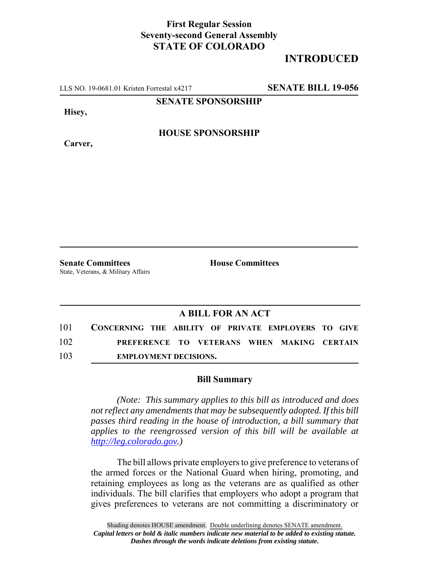## **First Regular Session Seventy-second General Assembly STATE OF COLORADO**

## **INTRODUCED**

LLS NO. 19-0681.01 Kristen Forrestal x4217 **SENATE BILL 19-056**

**SENATE SPONSORSHIP**

**Hisey,**

**HOUSE SPONSORSHIP**

**Carver,**

**Senate Committees House Committees** State, Veterans, & Military Affairs

## **A BILL FOR AN ACT**

| 101 | CONCERNING THE ABILITY OF PRIVATE EMPLOYERS TO GIVE |  |  |  |  |
|-----|-----------------------------------------------------|--|--|--|--|
| 102 | PREFERENCE TO VETERANS WHEN MAKING CERTAIN          |  |  |  |  |
| 103 | <b>EMPLOYMENT DECISIONS.</b>                        |  |  |  |  |

## **Bill Summary**

*(Note: This summary applies to this bill as introduced and does not reflect any amendments that may be subsequently adopted. If this bill passes third reading in the house of introduction, a bill summary that applies to the reengrossed version of this bill will be available at http://leg.colorado.gov.)*

The bill allows private employers to give preference to veterans of the armed forces or the National Guard when hiring, promoting, and retaining employees as long as the veterans are as qualified as other individuals. The bill clarifies that employers who adopt a program that gives preferences to veterans are not committing a discriminatory or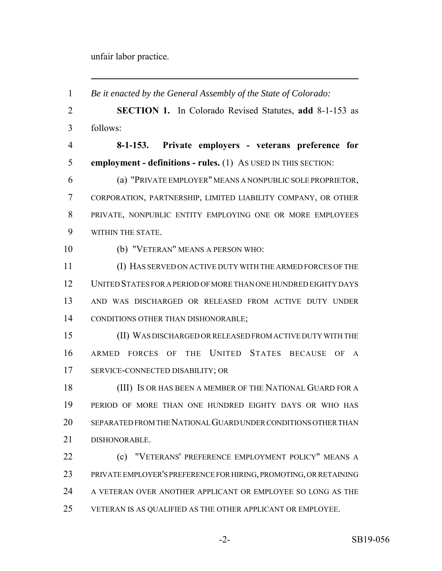unfair labor practice.

 *Be it enacted by the General Assembly of the State of Colorado:* **SECTION 1.** In Colorado Revised Statutes, **add** 8-1-153 as follows: **8-1-153. Private employers - veterans preference for employment - definitions - rules.** (1) AS USED IN THIS SECTION: (a) "PRIVATE EMPLOYER" MEANS A NONPUBLIC SOLE PROPRIETOR, CORPORATION, PARTNERSHIP, LIMITED LIABILITY COMPANY, OR OTHER PRIVATE, NONPUBLIC ENTITY EMPLOYING ONE OR MORE EMPLOYEES WITHIN THE STATE. (b) "VETERAN" MEANS A PERSON WHO: (I) HAS SERVED ON ACTIVE DUTY WITH THE ARMED FORCES OF THE UNITED STATES FOR A PERIOD OF MORE THAN ONE HUNDRED EIGHTY DAYS AND WAS DISCHARGED OR RELEASED FROM ACTIVE DUTY UNDER CONDITIONS OTHER THAN DISHONORABLE; (II) WAS DISCHARGED OR RELEASED FROM ACTIVE DUTY WITH THE ARMED FORCES OF THE UNITED STATES BECAUSE OF A SERVICE-CONNECTED DISABILITY; OR (III) IS OR HAS BEEN A MEMBER OF THE NATIONAL GUARD FOR A PERIOD OF MORE THAN ONE HUNDRED EIGHTY DAYS OR WHO HAS SEPARATED FROM THE NATIONAL GUARD UNDER CONDITIONS OTHER THAN DISHONORABLE. **(c) "VETERANS' PREFERENCE EMPLOYMENT POLICY" MEANS A**  PRIVATE EMPLOYER'S PREFERENCE FOR HIRING, PROMOTING, OR RETAINING A VETERAN OVER ANOTHER APPLICANT OR EMPLOYEE SO LONG AS THE VETERAN IS AS QUALIFIED AS THE OTHER APPLICANT OR EMPLOYEE.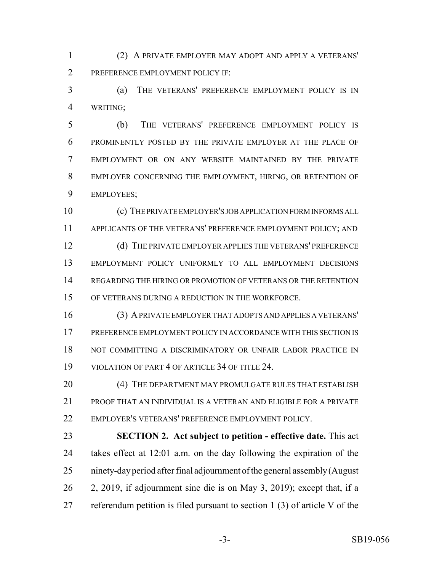(2) A PRIVATE EMPLOYER MAY ADOPT AND APPLY A VETERANS' PREFERENCE EMPLOYMENT POLICY IF:

 (a) THE VETERANS' PREFERENCE EMPLOYMENT POLICY IS IN WRITING;

 (b) THE VETERANS' PREFERENCE EMPLOYMENT POLICY IS PROMINENTLY POSTED BY THE PRIVATE EMPLOYER AT THE PLACE OF EMPLOYMENT OR ON ANY WEBSITE MAINTAINED BY THE PRIVATE EMPLOYER CONCERNING THE EMPLOYMENT, HIRING, OR RETENTION OF EMPLOYEES;

 (c) THE PRIVATE EMPLOYER'S JOB APPLICATION FORM INFORMS ALL APPLICANTS OF THE VETERANS' PREFERENCE EMPLOYMENT POLICY; AND 12 (d) THE PRIVATE EMPLOYER APPLIES THE VETERANS' PREFERENCE EMPLOYMENT POLICY UNIFORMLY TO ALL EMPLOYMENT DECISIONS REGARDING THE HIRING OR PROMOTION OF VETERANS OR THE RETENTION OF VETERANS DURING A REDUCTION IN THE WORKFORCE.

 (3) A PRIVATE EMPLOYER THAT ADOPTS AND APPLIES A VETERANS' PREFERENCE EMPLOYMENT POLICY IN ACCORDANCE WITH THIS SECTION IS NOT COMMITTING A DISCRIMINATORY OR UNFAIR LABOR PRACTICE IN 19 VIOLATION OF PART 4 OF ARTICLE 34 OF TITLE 24.

20 (4) THE DEPARTMENT MAY PROMULGATE RULES THAT ESTABLISH PROOF THAT AN INDIVIDUAL IS A VETERAN AND ELIGIBLE FOR A PRIVATE EMPLOYER'S VETERANS' PREFERENCE EMPLOYMENT POLICY.

 **SECTION 2. Act subject to petition - effective date.** This act takes effect at 12:01 a.m. on the day following the expiration of the ninety-day period after final adjournment of the general assembly (August 2, 2019, if adjournment sine die is on May 3, 2019); except that, if a referendum petition is filed pursuant to section 1 (3) of article V of the